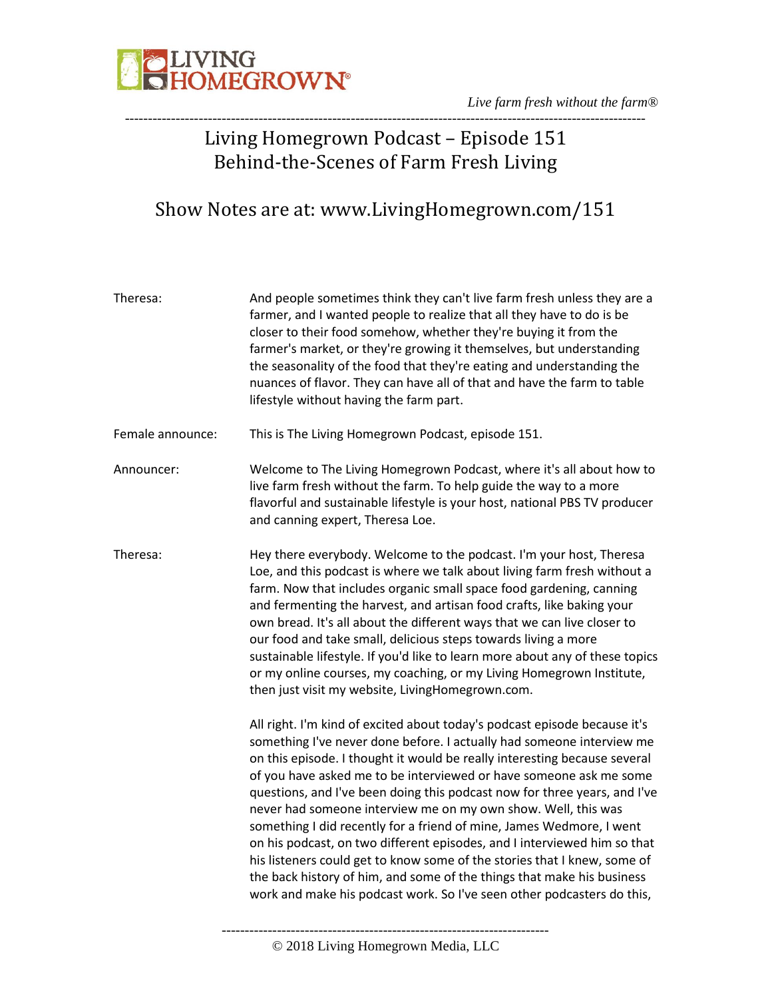

# Living Homegrown Podcast – Episode 151 Behind-the-Scenes of Farm Fresh Living

# Show Notes are at: www.LivingHomegrown.com/151

| Theresa:         | And people sometimes think they can't live farm fresh unless they are a<br>farmer, and I wanted people to realize that all they have to do is be<br>closer to their food somehow, whether they're buying it from the<br>farmer's market, or they're growing it themselves, but understanding<br>the seasonality of the food that they're eating and understanding the<br>nuances of flavor. They can have all of that and have the farm to table<br>lifestyle without having the farm part.                                                                                                                                                                                                                                                                                                                                             |
|------------------|-----------------------------------------------------------------------------------------------------------------------------------------------------------------------------------------------------------------------------------------------------------------------------------------------------------------------------------------------------------------------------------------------------------------------------------------------------------------------------------------------------------------------------------------------------------------------------------------------------------------------------------------------------------------------------------------------------------------------------------------------------------------------------------------------------------------------------------------|
| Female announce: | This is The Living Homegrown Podcast, episode 151.                                                                                                                                                                                                                                                                                                                                                                                                                                                                                                                                                                                                                                                                                                                                                                                      |
| Announcer:       | Welcome to The Living Homegrown Podcast, where it's all about how to<br>live farm fresh without the farm. To help guide the way to a more<br>flavorful and sustainable lifestyle is your host, national PBS TV producer<br>and canning expert, Theresa Loe.                                                                                                                                                                                                                                                                                                                                                                                                                                                                                                                                                                             |
| Theresa:         | Hey there everybody. Welcome to the podcast. I'm your host, Theresa<br>Loe, and this podcast is where we talk about living farm fresh without a<br>farm. Now that includes organic small space food gardening, canning<br>and fermenting the harvest, and artisan food crafts, like baking your<br>own bread. It's all about the different ways that we can live closer to<br>our food and take small, delicious steps towards living a more<br>sustainable lifestyle. If you'd like to learn more about any of these topics<br>or my online courses, my coaching, or my Living Homegrown Institute,<br>then just visit my website, LivingHomegrown.com.                                                                                                                                                                                |
|                  | All right. I'm kind of excited about today's podcast episode because it's<br>something I've never done before. I actually had someone interview me<br>on this episode. I thought it would be really interesting because several<br>of you have asked me to be interviewed or have someone ask me some<br>questions, and I've been doing this podcast now for three years, and I've<br>never had someone interview me on my own show. Well, this was<br>something I did recently for a friend of mine, James Wedmore, I went<br>on his podcast, on two different episodes, and I interviewed him so that<br>his listeners could get to know some of the stories that I knew, some of<br>the back history of him, and some of the things that make his business<br>work and make his podcast work. So I've seen other podcasters do this, |

-----------------------------------------------------------------------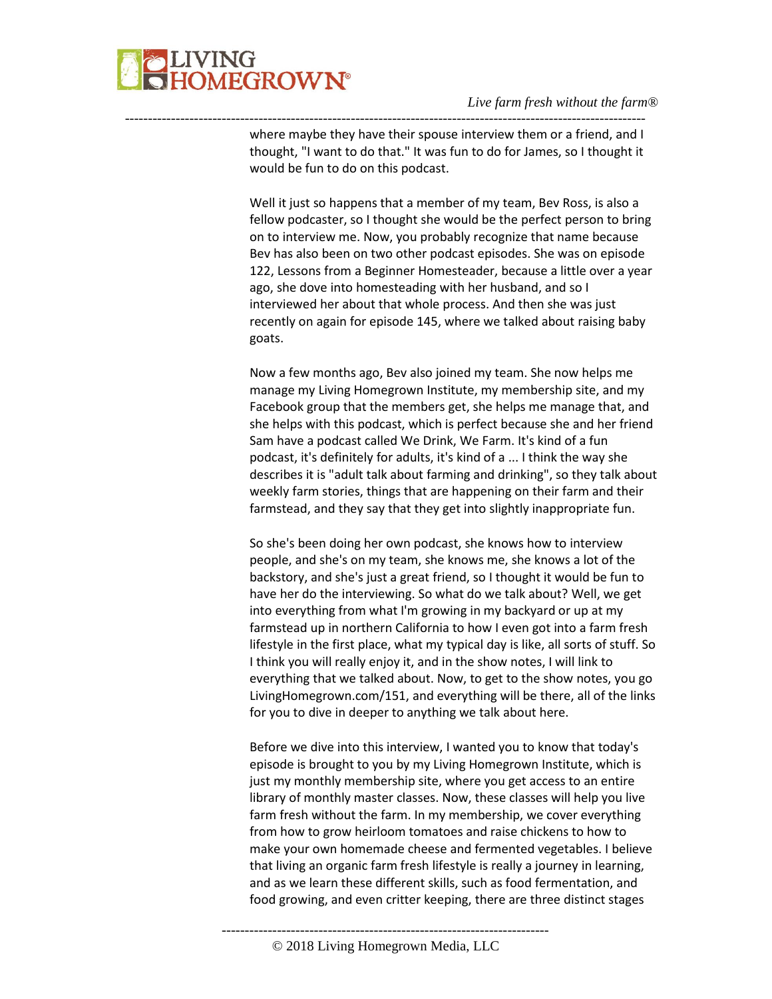

where maybe they have their spouse interview them or a friend, and I thought, "I want to do that." It was fun to do for James, so I thought it would be fun to do on this podcast.

-----------------------------------------------------------------------------------------------------------------

Well it just so happens that a member of my team, Bev Ross, is also a fellow podcaster, so I thought she would be the perfect person to bring on to interview me. Now, you probably recognize that name because Bev has also been on two other podcast episodes. She was on episode 122, Lessons from a Beginner Homesteader, because a little over a year ago, she dove into homesteading with her husband, and so I interviewed her about that whole process. And then she was just recently on again for episode 145, where we talked about raising baby goats.

Now a few months ago, Bev also joined my team. She now helps me manage my Living Homegrown Institute, my membership site, and my Facebook group that the members get, she helps me manage that, and she helps with this podcast, which is perfect because she and her friend Sam have a podcast called We Drink, We Farm. It's kind of a fun podcast, it's definitely for adults, it's kind of a ... I think the way she describes it is "adult talk about farming and drinking", so they talk about weekly farm stories, things that are happening on their farm and their farmstead, and they say that they get into slightly inappropriate fun.

So she's been doing her own podcast, she knows how to interview people, and she's on my team, she knows me, she knows a lot of the backstory, and she's just a great friend, so I thought it would be fun to have her do the interviewing. So what do we talk about? Well, we get into everything from what I'm growing in my backyard or up at my farmstead up in northern California to how I even got into a farm fresh lifestyle in the first place, what my typical day is like, all sorts of stuff. So I think you will really enjoy it, and in the show notes, I will link to everything that we talked about. Now, to get to the show notes, you go LivingHomegrown.com/151, and everything will be there, all of the links for you to dive in deeper to anything we talk about here.

Before we dive into this interview, I wanted you to know that today's episode is brought to you by my Living Homegrown Institute, which is just my monthly membership site, where you get access to an entire library of monthly master classes. Now, these classes will help you live farm fresh without the farm. In my membership, we cover everything from how to grow heirloom tomatoes and raise chickens to how to make your own homemade cheese and fermented vegetables. I believe that living an organic farm fresh lifestyle is really a journey in learning, and as we learn these different skills, such as food fermentation, and food growing, and even critter keeping, there are three distinct stages

<sup>-----------------------------------------------------------------------</sup> © 2018 Living Homegrown Media, LLC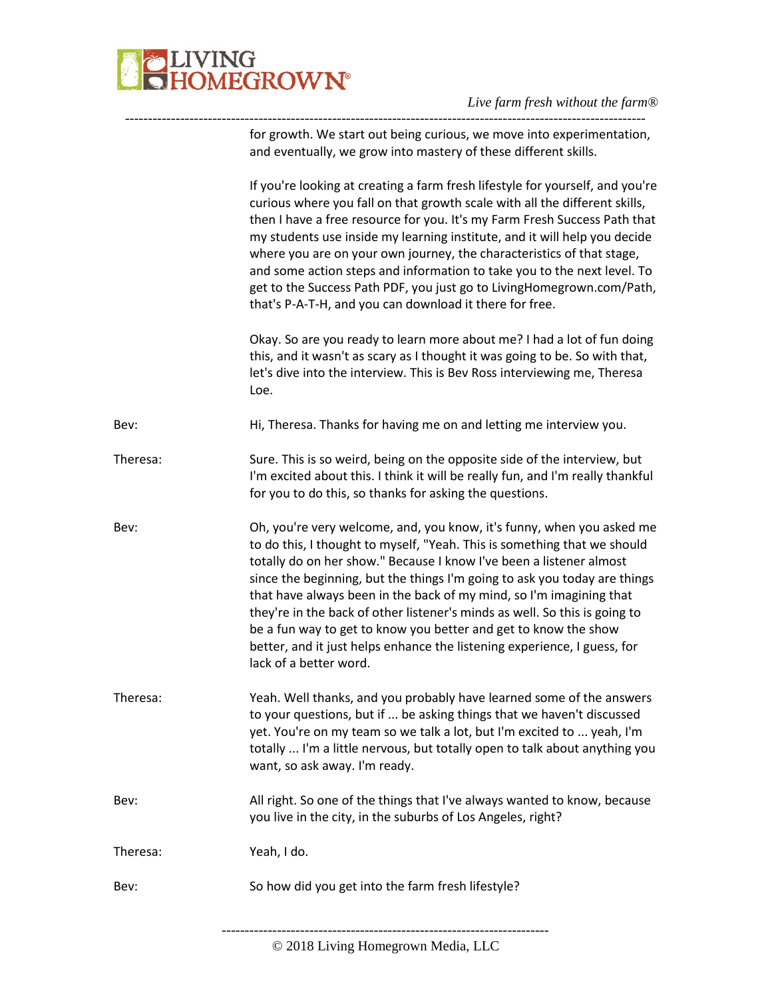

-----------------------------------------------------------------------------------------------------------------

| Bev:             | So how did you get into the farm fresh lifestyle?                                                                                                                                                                                                                                                                                                                                                                                                                                                                                                                                                                                   |
|------------------|-------------------------------------------------------------------------------------------------------------------------------------------------------------------------------------------------------------------------------------------------------------------------------------------------------------------------------------------------------------------------------------------------------------------------------------------------------------------------------------------------------------------------------------------------------------------------------------------------------------------------------------|
| Bev:<br>Theresa: | All right. So one of the things that I've always wanted to know, because<br>you live in the city, in the suburbs of Los Angeles, right?<br>Yeah, I do.                                                                                                                                                                                                                                                                                                                                                                                                                                                                              |
| Theresa:         | Yeah. Well thanks, and you probably have learned some of the answers<br>to your questions, but if  be asking things that we haven't discussed<br>yet. You're on my team so we talk a lot, but I'm excited to  yeah, I'm<br>totally  I'm a little nervous, but totally open to talk about anything you<br>want, so ask away. I'm ready.                                                                                                                                                                                                                                                                                              |
| Bev:             | Oh, you're very welcome, and, you know, it's funny, when you asked me<br>to do this, I thought to myself, "Yeah. This is something that we should<br>totally do on her show." Because I know I've been a listener almost<br>since the beginning, but the things I'm going to ask you today are things<br>that have always been in the back of my mind, so I'm imagining that<br>they're in the back of other listener's minds as well. So this is going to<br>be a fun way to get to know you better and get to know the show<br>better, and it just helps enhance the listening experience, I guess, for<br>lack of a better word. |
| Theresa:         | Sure. This is so weird, being on the opposite side of the interview, but<br>I'm excited about this. I think it will be really fun, and I'm really thankful<br>for you to do this, so thanks for asking the questions.                                                                                                                                                                                                                                                                                                                                                                                                               |
| Bev:             | Hi, Theresa. Thanks for having me on and letting me interview you.                                                                                                                                                                                                                                                                                                                                                                                                                                                                                                                                                                  |
|                  | Okay. So are you ready to learn more about me? I had a lot of fun doing<br>this, and it wasn't as scary as I thought it was going to be. So with that,<br>let's dive into the interview. This is Bev Ross interviewing me, Theresa<br>Loe.                                                                                                                                                                                                                                                                                                                                                                                          |
|                  | If you're looking at creating a farm fresh lifestyle for yourself, and you're<br>curious where you fall on that growth scale with all the different skills,<br>then I have a free resource for you. It's my Farm Fresh Success Path that<br>my students use inside my learning institute, and it will help you decide<br>where you are on your own journey, the characteristics of that stage,<br>and some action steps and information to take you to the next level. To<br>get to the Success Path PDF, you just go to LivingHomegrown.com/Path,<br>that's P-A-T-H, and you can download it there for free.                       |
|                  | for growth. We start out being curious, we move into experimentation,<br>and eventually, we grow into mastery of these different skills.                                                                                                                                                                                                                                                                                                                                                                                                                                                                                            |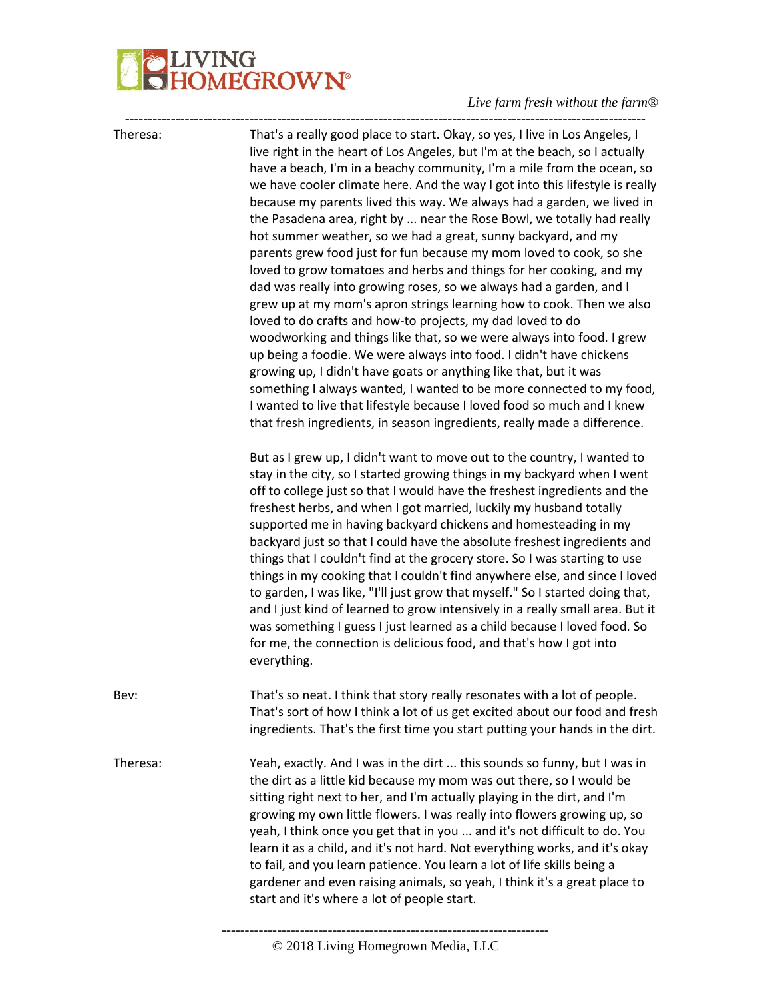# JVING<br>HOMEGROWN®

### *Live farm fresh without the farm®*

----------------------------------------------------------------------------------------------------------------- ----------------------------------------------------------------------- Theresa: That's a really good place to start. Okay, so yes, I live in Los Angeles, I live right in the heart of Los Angeles, but I'm at the beach, so I actually have a beach, I'm in a beachy community, I'm a mile from the ocean, so we have cooler climate here. And the way I got into this lifestyle is really because my parents lived this way. We always had a garden, we lived in the Pasadena area, right by ... near the Rose Bowl, we totally had really hot summer weather, so we had a great, sunny backyard, and my parents grew food just for fun because my mom loved to cook, so she loved to grow tomatoes and herbs and things for her cooking, and my dad was really into growing roses, so we always had a garden, and I grew up at my mom's apron strings learning how to cook. Then we also loved to do crafts and how-to projects, my dad loved to do woodworking and things like that, so we were always into food. I grew up being a foodie. We were always into food. I didn't have chickens growing up, I didn't have goats or anything like that, but it was something I always wanted, I wanted to be more connected to my food, I wanted to live that lifestyle because I loved food so much and I knew that fresh ingredients, in season ingredients, really made a difference. But as I grew up, I didn't want to move out to the country, I wanted to stay in the city, so I started growing things in my backyard when I went off to college just so that I would have the freshest ingredients and the freshest herbs, and when I got married, luckily my husband totally supported me in having backyard chickens and homesteading in my backyard just so that I could have the absolute freshest ingredients and things that I couldn't find at the grocery store. So I was starting to use things in my cooking that I couldn't find anywhere else, and since I loved to garden, I was like, "I'll just grow that myself." So I started doing that, and I just kind of learned to grow intensively in a really small area. But it was something I guess I just learned as a child because I loved food. So for me, the connection is delicious food, and that's how I got into everything. Bev: That's so neat. I think that story really resonates with a lot of people. That's sort of how I think a lot of us get excited about our food and fresh ingredients. That's the first time you start putting your hands in the dirt. Theresa: Yeah, exactly. And I was in the dirt ... this sounds so funny, but I was in the dirt as a little kid because my mom was out there, so I would be sitting right next to her, and I'm actually playing in the dirt, and I'm growing my own little flowers. I was really into flowers growing up, so yeah, I think once you get that in you ... and it's not difficult to do. You learn it as a child, and it's not hard. Not everything works, and it's okay to fail, and you learn patience. You learn a lot of life skills being a gardener and even raising animals, so yeah, I think it's a great place to start and it's where a lot of people start.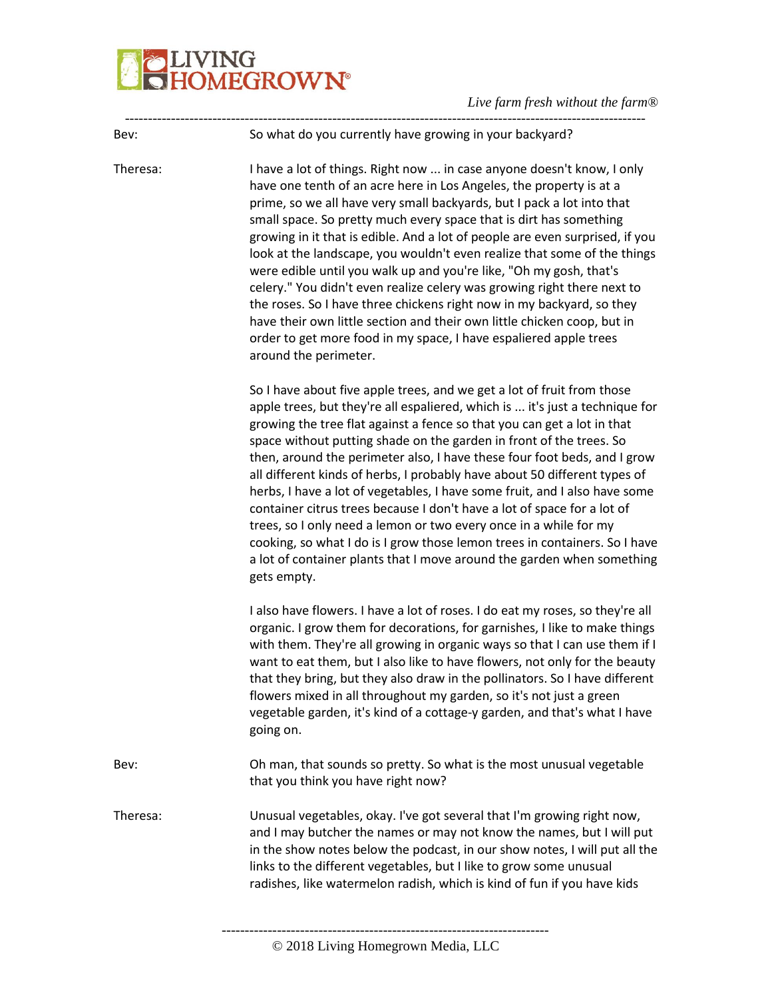# VING<br>DM<mark>EGROWN°</mark>

*Live farm fresh without the farm®*

----------------------------------------------------------------------------------------------------------------- Bev: So what do you currently have growing in your backyard? Theresa: I have a lot of things. Right now ... in case anyone doesn't know, I only have one tenth of an acre here in Los Angeles, the property is at a prime, so we all have very small backyards, but I pack a lot into that small space. So pretty much every space that is dirt has something growing in it that is edible. And a lot of people are even surprised, if you look at the landscape, you wouldn't even realize that some of the things were edible until you walk up and you're like, "Oh my gosh, that's celery." You didn't even realize celery was growing right there next to the roses. So I have three chickens right now in my backyard, so they have their own little section and their own little chicken coop, but in order to get more food in my space, I have espaliered apple trees around the perimeter. So I have about five apple trees, and we get a lot of fruit from those apple trees, but they're all espaliered, which is ... it's just a technique for growing the tree flat against a fence so that you can get a lot in that space without putting shade on the garden in front of the trees. So then, around the perimeter also, I have these four foot beds, and I grow all different kinds of herbs, I probably have about 50 different types of herbs, I have a lot of vegetables, I have some fruit, and I also have some container citrus trees because I don't have a lot of space for a lot of trees, so I only need a lemon or two every once in a while for my cooking, so what I do is I grow those lemon trees in containers. So I have a lot of container plants that I move around the garden when something gets empty. I also have flowers. I have a lot of roses. I do eat my roses, so they're all organic. I grow them for decorations, for garnishes, I like to make things with them. They're all growing in organic ways so that I can use them if I want to eat them, but I also like to have flowers, not only for the beauty that they bring, but they also draw in the pollinators. So I have different flowers mixed in all throughout my garden, so it's not just a green vegetable garden, it's kind of a cottage-y garden, and that's what I have going on. Bev: Oh man, that sounds so pretty. So what is the most unusual vegetable that you think you have right now? Theresa: Unusual vegetables, okay. I've got several that I'm growing right now, and I may butcher the names or may not know the names, but I will put in the show notes below the podcast, in our show notes, I will put all the links to the different vegetables, but I like to grow some unusual radishes, like watermelon radish, which is kind of fun if you have kids

<sup>-----------------------------------------------------------------------</sup> © 2018 Living Homegrown Media, LLC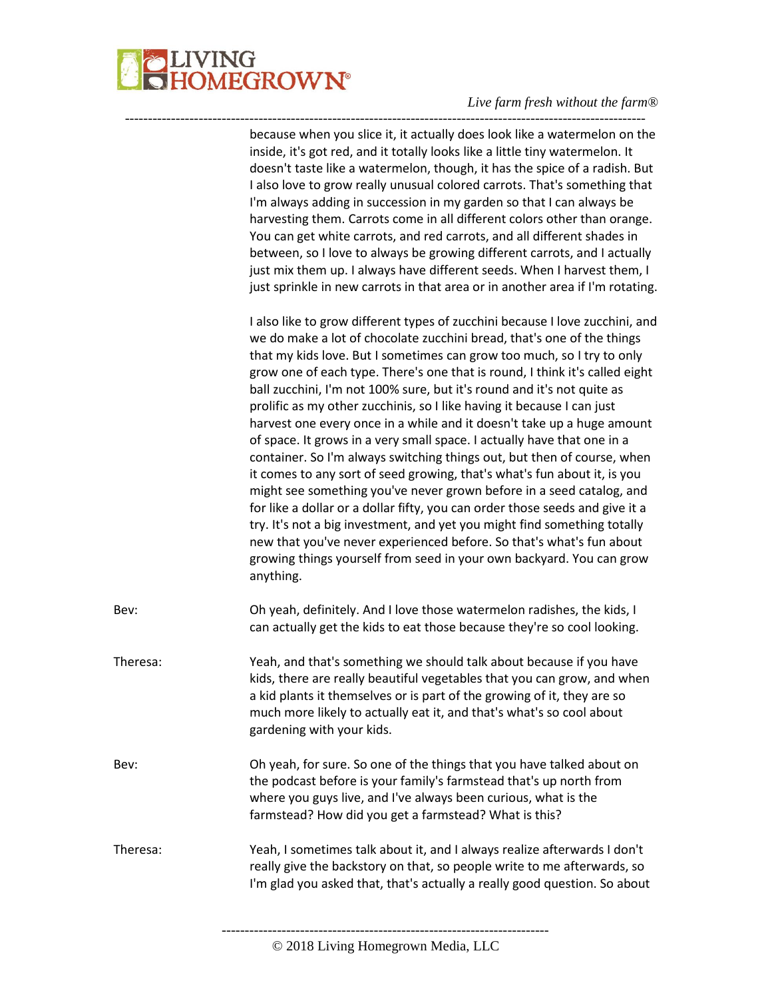

because when you slice it, it actually does look like a watermelon on the inside, it's got red, and it totally looks like a little tiny watermelon. It doesn't taste like a watermelon, though, it has the spice of a radish. But I also love to grow really unusual colored carrots. That's something that I'm always adding in succession in my garden so that I can always be harvesting them. Carrots come in all different colors other than orange. You can get white carrots, and red carrots, and all different shades in between, so I love to always be growing different carrots, and I actually just mix them up. I always have different seeds. When I harvest them, I just sprinkle in new carrots in that area or in another area if I'm rotating. I also like to grow different types of zucchini because I love zucchini, and we do make a lot of chocolate zucchini bread, that's one of the things that my kids love. But I sometimes can grow too much, so I try to only grow one of each type. There's one that is round, I think it's called eight ball zucchini, I'm not 100% sure, but it's round and it's not quite as prolific as my other zucchinis, so I like having it because I can just harvest one every once in a while and it doesn't take up a huge amount of space. It grows in a very small space. I actually have that one in a container. So I'm always switching things out, but then of course, when it comes to any sort of seed growing, that's what's fun about it, is you might see something you've never grown before in a seed catalog, and for like a dollar or a dollar fifty, you can order those seeds and give it a try. It's not a big investment, and yet you might find something totally new that you've never experienced before. So that's what's fun about growing things yourself from seed in your own backyard. You can grow anything. Bev: Oh yeah, definitely. And I love those watermelon radishes, the kids, I can actually get the kids to eat those because they're so cool looking. Theresa: Yeah, and that's something we should talk about because if you have kids, there are really beautiful vegetables that you can grow, and when a kid plants it themselves or is part of the growing of it, they are so much more likely to actually eat it, and that's what's so cool about gardening with your kids. Bev: Oh yeah, for sure. So one of the things that you have talked about on the podcast before is your family's farmstead that's up north from where you guys live, and I've always been curious, what is the farmstead? How did you get a farmstead? What is this? Theresa: Yeah, I sometimes talk about it, and I always realize afterwards I don't really give the backstory on that, so people write to me afterwards, so I'm glad you asked that, that's actually a really good question. So about

-----------------------------------------------------------------------------------------------------------------

-----------------------------------------------------------------------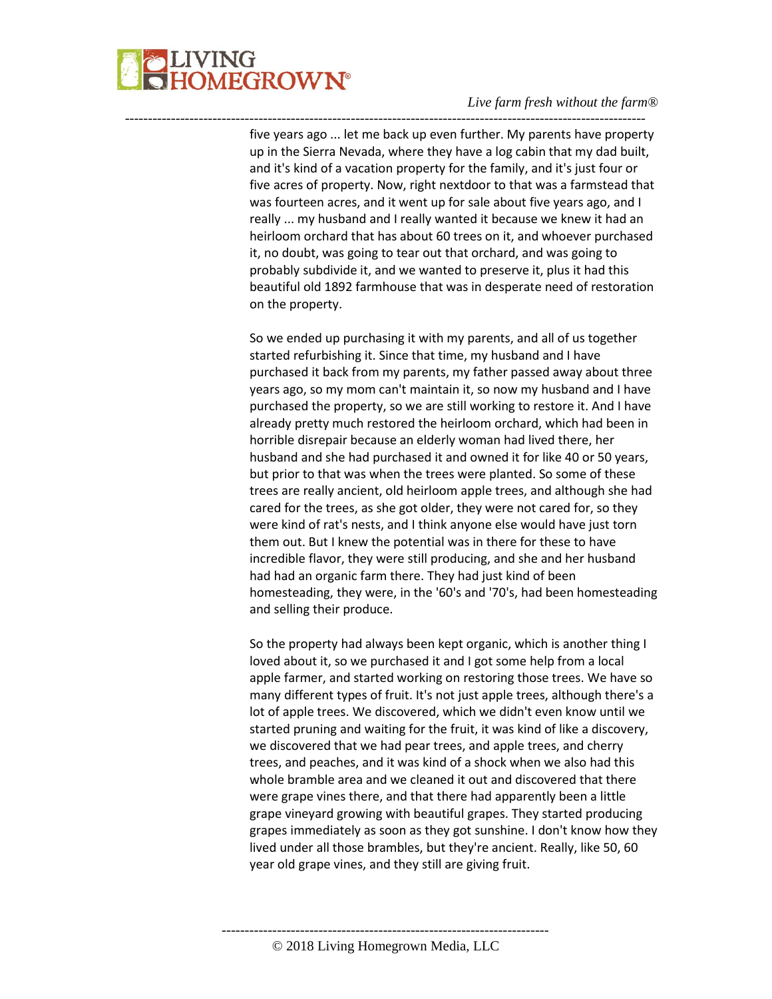

five years ago ... let me back up even further. My parents have property up in the Sierra Nevada, where they have a log cabin that my dad built, and it's kind of a vacation property for the family, and it's just four or five acres of property. Now, right nextdoor to that was a farmstead that was fourteen acres, and it went up for sale about five years ago, and I really ... my husband and I really wanted it because we knew it had an heirloom orchard that has about 60 trees on it, and whoever purchased it, no doubt, was going to tear out that orchard, and was going to probably subdivide it, and we wanted to preserve it, plus it had this beautiful old 1892 farmhouse that was in desperate need of restoration on the property.

-----------------------------------------------------------------------------------------------------------------

So we ended up purchasing it with my parents, and all of us together started refurbishing it. Since that time, my husband and I have purchased it back from my parents, my father passed away about three years ago, so my mom can't maintain it, so now my husband and I have purchased the property, so we are still working to restore it. And I have already pretty much restored the heirloom orchard, which had been in horrible disrepair because an elderly woman had lived there, her husband and she had purchased it and owned it for like 40 or 50 years, but prior to that was when the trees were planted. So some of these trees are really ancient, old heirloom apple trees, and although she had cared for the trees, as she got older, they were not cared for, so they were kind of rat's nests, and I think anyone else would have just torn them out. But I knew the potential was in there for these to have incredible flavor, they were still producing, and she and her husband had had an organic farm there. They had just kind of been homesteading, they were, in the '60's and '70's, had been homesteading and selling their produce.

So the property had always been kept organic, which is another thing I loved about it, so we purchased it and I got some help from a local apple farmer, and started working on restoring those trees. We have so many different types of fruit. It's not just apple trees, although there's a lot of apple trees. We discovered, which we didn't even know until we started pruning and waiting for the fruit, it was kind of like a discovery, we discovered that we had pear trees, and apple trees, and cherry trees, and peaches, and it was kind of a shock when we also had this whole bramble area and we cleaned it out and discovered that there were grape vines there, and that there had apparently been a little grape vineyard growing with beautiful grapes. They started producing grapes immediately as soon as they got sunshine. I don't know how they lived under all those brambles, but they're ancient. Really, like 50, 60 year old grape vines, and they still are giving fruit.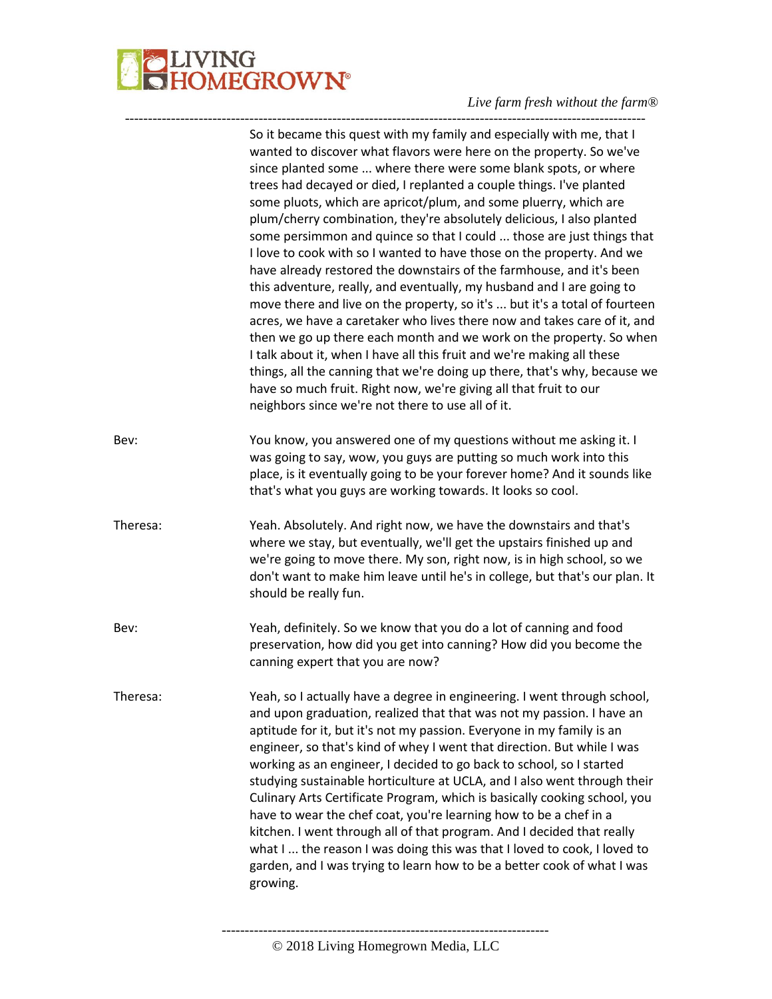

|          | So it became this quest with my family and especially with me, that I<br>wanted to discover what flavors were here on the property. So we've<br>since planted some  where there were some blank spots, or where<br>trees had decayed or died, I replanted a couple things. I've planted<br>some pluots, which are apricot/plum, and some pluerry, which are<br>plum/cherry combination, they're absolutely delicious, I also planted<br>some persimmon and quince so that I could  those are just things that<br>I love to cook with so I wanted to have those on the property. And we<br>have already restored the downstairs of the farmhouse, and it's been<br>this adventure, really, and eventually, my husband and I are going to<br>move there and live on the property, so it's  but it's a total of fourteen<br>acres, we have a caretaker who lives there now and takes care of it, and<br>then we go up there each month and we work on the property. So when<br>I talk about it, when I have all this fruit and we're making all these<br>things, all the canning that we're doing up there, that's why, because we<br>have so much fruit. Right now, we're giving all that fruit to our<br>neighbors since we're not there to use all of it. |
|----------|-----------------------------------------------------------------------------------------------------------------------------------------------------------------------------------------------------------------------------------------------------------------------------------------------------------------------------------------------------------------------------------------------------------------------------------------------------------------------------------------------------------------------------------------------------------------------------------------------------------------------------------------------------------------------------------------------------------------------------------------------------------------------------------------------------------------------------------------------------------------------------------------------------------------------------------------------------------------------------------------------------------------------------------------------------------------------------------------------------------------------------------------------------------------------------------------------------------------------------------------------------------|
| Bev:     | You know, you answered one of my questions without me asking it. I<br>was going to say, wow, you guys are putting so much work into this<br>place, is it eventually going to be your forever home? And it sounds like<br>that's what you guys are working towards. It looks so cool.                                                                                                                                                                                                                                                                                                                                                                                                                                                                                                                                                                                                                                                                                                                                                                                                                                                                                                                                                                      |
| Theresa: | Yeah. Absolutely. And right now, we have the downstairs and that's<br>where we stay, but eventually, we'll get the upstairs finished up and<br>we're going to move there. My son, right now, is in high school, so we<br>don't want to make him leave until he's in college, but that's our plan. It<br>should be really fun.                                                                                                                                                                                                                                                                                                                                                                                                                                                                                                                                                                                                                                                                                                                                                                                                                                                                                                                             |
| Bev:     | Yeah, definitely. So we know that you do a lot of canning and food<br>preservation, how did you get into canning? How did you become the<br>canning expert that you are now?                                                                                                                                                                                                                                                                                                                                                                                                                                                                                                                                                                                                                                                                                                                                                                                                                                                                                                                                                                                                                                                                              |
| Theresa: | Yeah, so I actually have a degree in engineering. I went through school,<br>and upon graduation, realized that that was not my passion. I have an<br>aptitude for it, but it's not my passion. Everyone in my family is an<br>engineer, so that's kind of whey I went that direction. But while I was<br>working as an engineer, I decided to go back to school, so I started<br>studying sustainable horticulture at UCLA, and I also went through their<br>Culinary Arts Certificate Program, which is basically cooking school, you<br>have to wear the chef coat, you're learning how to be a chef in a<br>kitchen. I went through all of that program. And I decided that really<br>what I  the reason I was doing this was that I loved to cook, I loved to<br>garden, and I was trying to learn how to be a better cook of what I was<br>growing.                                                                                                                                                                                                                                                                                                                                                                                                  |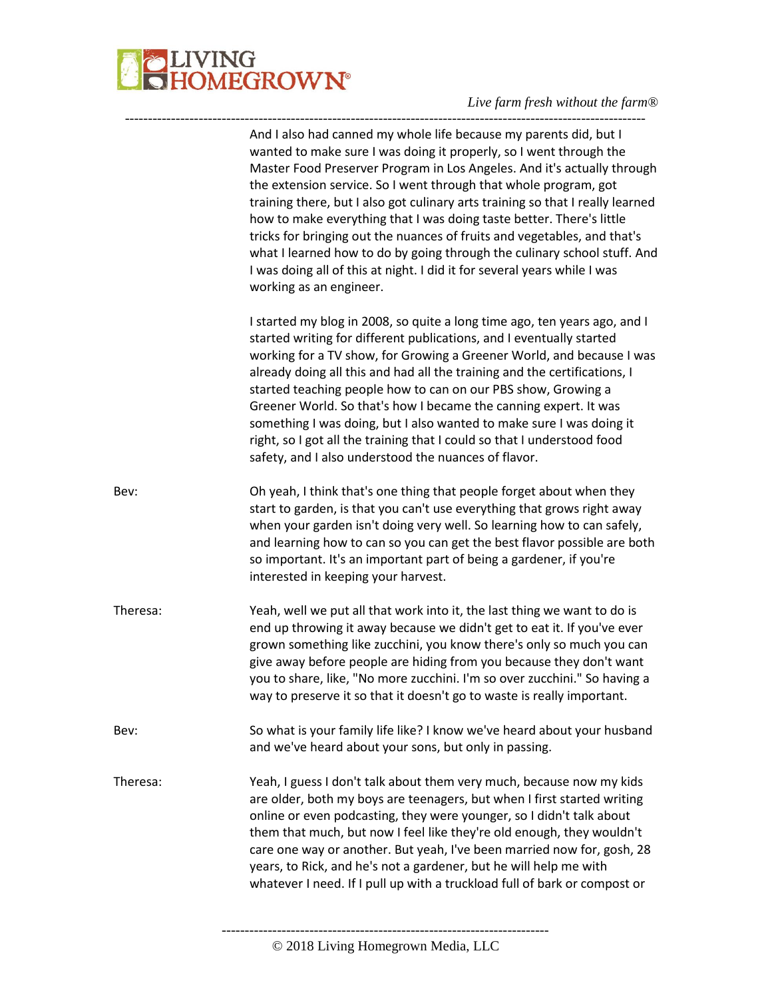

|          | And I also had canned my whole life because my parents did, but I<br>wanted to make sure I was doing it properly, so I went through the<br>Master Food Preserver Program in Los Angeles. And it's actually through<br>the extension service. So I went through that whole program, got<br>training there, but I also got culinary arts training so that I really learned<br>how to make everything that I was doing taste better. There's little<br>tricks for bringing out the nuances of fruits and vegetables, and that's<br>what I learned how to do by going through the culinary school stuff. And<br>I was doing all of this at night. I did it for several years while I was<br>working as an engineer. |
|----------|-----------------------------------------------------------------------------------------------------------------------------------------------------------------------------------------------------------------------------------------------------------------------------------------------------------------------------------------------------------------------------------------------------------------------------------------------------------------------------------------------------------------------------------------------------------------------------------------------------------------------------------------------------------------------------------------------------------------|
|          | I started my blog in 2008, so quite a long time ago, ten years ago, and I<br>started writing for different publications, and I eventually started<br>working for a TV show, for Growing a Greener World, and because I was<br>already doing all this and had all the training and the certifications, I<br>started teaching people how to can on our PBS show, Growing a<br>Greener World. So that's how I became the canning expert. It was<br>something I was doing, but I also wanted to make sure I was doing it<br>right, so I got all the training that I could so that I understood food<br>safety, and I also understood the nuances of flavor.                                                         |
| Bev:     | Oh yeah, I think that's one thing that people forget about when they<br>start to garden, is that you can't use everything that grows right away<br>when your garden isn't doing very well. So learning how to can safely,<br>and learning how to can so you can get the best flavor possible are both<br>so important. It's an important part of being a gardener, if you're<br>interested in keeping your harvest.                                                                                                                                                                                                                                                                                             |
| Theresa: | Yeah, well we put all that work into it, the last thing we want to do is<br>end up throwing it away because we didn't get to eat it. If you've ever<br>grown something like zucchini, you know there's only so much you can<br>give away before people are hiding from you because they don't want<br>you to share, like, "No more zucchini. I'm so over zucchini." So having a<br>way to preserve it so that it doesn't go to waste is really important.                                                                                                                                                                                                                                                       |
| Bev:     | So what is your family life like? I know we've heard about your husband<br>and we've heard about your sons, but only in passing.                                                                                                                                                                                                                                                                                                                                                                                                                                                                                                                                                                                |
| Theresa: | Yeah, I guess I don't talk about them very much, because now my kids<br>are older, both my boys are teenagers, but when I first started writing<br>online or even podcasting, they were younger, so I didn't talk about<br>them that much, but now I feel like they're old enough, they wouldn't<br>care one way or another. But yeah, I've been married now for, gosh, 28<br>years, to Rick, and he's not a gardener, but he will help me with<br>whatever I need. If I pull up with a truckload full of bark or compost or                                                                                                                                                                                    |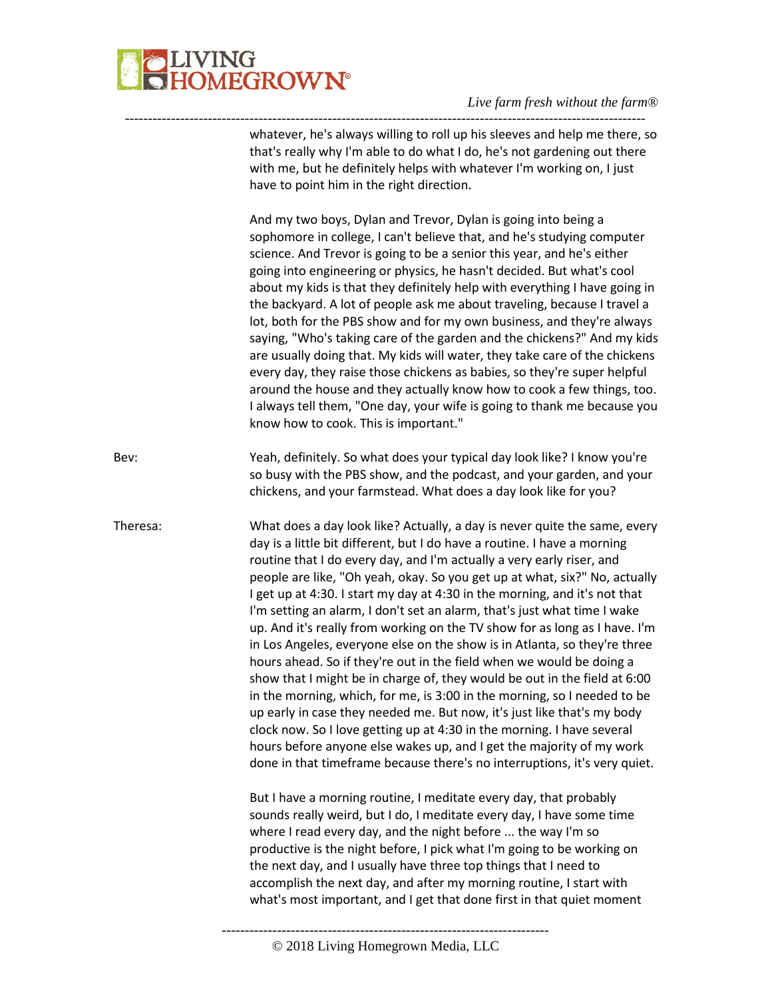

---------------------------------------------------------------------------------------------------------------- whatever, he's always willing to roll up his sleeves and help me there, so that's really why I'm able to do what I do, he's not gardening out there with me, but he definitely helps with whatever I'm working on, I just have to point him in the right direction. And my two boys, Dylan and Trevor, Dylan is going into being a sophomore in college, I can't believe that, and he's studying computer science. And Trevor is going to be a senior this year, and he's either going into engineering or physics, he hasn't decided. But what's cool about my kids is that they definitely help with everything I have going in the backyard. A lot of people ask me about traveling, because I travel a lot, both for the PBS show and for my own business, and they're always saying, "Who's taking care of the garden and the chickens?" And my kids are usually doing that. My kids will water, they take care of the chickens every day, they raise those chickens as babies, so they're super helpful around the house and they actually know how to cook a few things, too. I always tell them, "One day, your wife is going to thank me because you know how to cook. This is important." Bev: Yeah, definitely. So what does your typical day look like? I know you're so busy with the PBS show, and the podcast, and your garden, and your chickens, and your farmstead. What does a day look like for you? Theresa: What does a day look like? Actually, a day is never quite the same, every day is a little bit different, but I do have a routine. I have a morning routine that I do every day, and I'm actually a very early riser, and people are like, "Oh yeah, okay. So you get up at what, six?" No, actually I get up at 4:30. I start my day at 4:30 in the morning, and it's not that I'm setting an alarm, I don't set an alarm, that's just what time I wake up. And it's really from working on the TV show for as long as I have. I'm in Los Angeles, everyone else on the show is in Atlanta, so they're three hours ahead. So if they're out in the field when we would be doing a show that I might be in charge of, they would be out in the field at 6:00 in the morning, which, for me, is 3:00 in the morning, so I needed to be up early in case they needed me. But now, it's just like that's my body clock now. So I love getting up at 4:30 in the morning. I have several hours before anyone else wakes up, and I get the majority of my work done in that timeframe because there's no interruptions, it's very quiet. But I have a morning routine, I meditate every day, that probably sounds really weird, but I do, I meditate every day, I have some time where I read every day, and the night before ... the way I'm so productive is the night before, I pick what I'm going to be working on the next day, and I usually have three top things that I need to accomplish the next day, and after my morning routine, I start with what's most important, and I get that done first in that quiet moment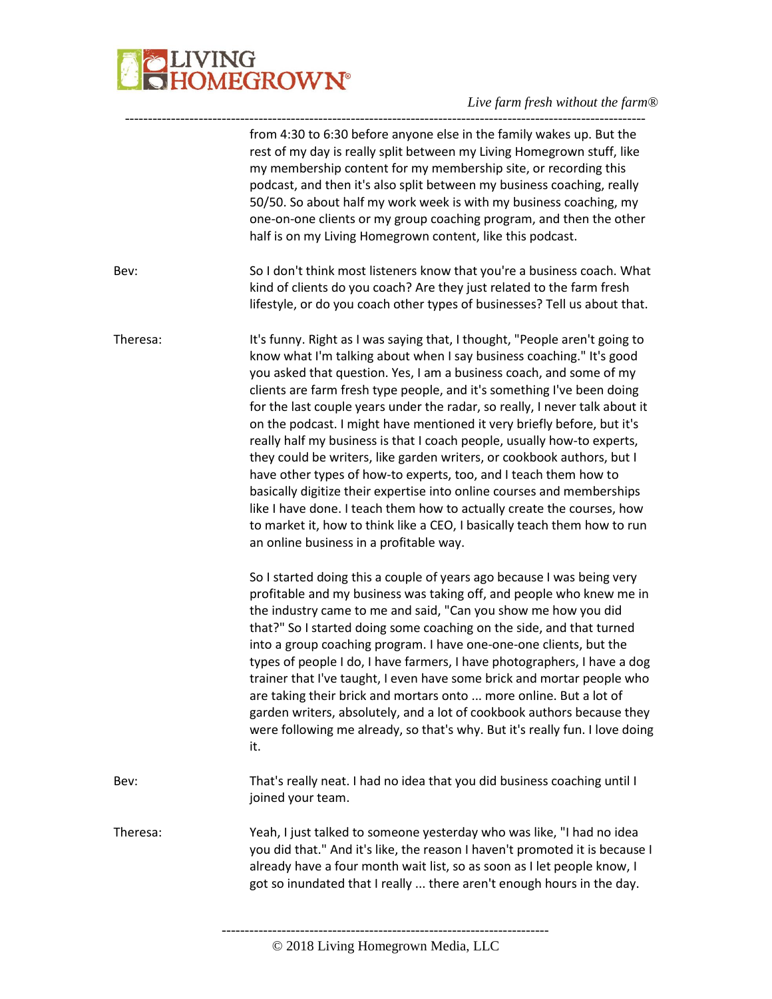# **BELIVING**<br>**BELIVING**<br> **BELIVING**

|          | from 4:30 to 6:30 before anyone else in the family wakes up. But the<br>rest of my day is really split between my Living Homegrown stuff, like<br>my membership content for my membership site, or recording this<br>podcast, and then it's also split between my business coaching, really<br>50/50. So about half my work week is with my business coaching, my<br>one-on-one clients or my group coaching program, and then the other<br>half is on my Living Homegrown content, like this podcast.                                                                                                                                                                                                                                                                                                                                                                                                                                                            |
|----------|-------------------------------------------------------------------------------------------------------------------------------------------------------------------------------------------------------------------------------------------------------------------------------------------------------------------------------------------------------------------------------------------------------------------------------------------------------------------------------------------------------------------------------------------------------------------------------------------------------------------------------------------------------------------------------------------------------------------------------------------------------------------------------------------------------------------------------------------------------------------------------------------------------------------------------------------------------------------|
| Bev:     | So I don't think most listeners know that you're a business coach. What<br>kind of clients do you coach? Are they just related to the farm fresh<br>lifestyle, or do you coach other types of businesses? Tell us about that.                                                                                                                                                                                                                                                                                                                                                                                                                                                                                                                                                                                                                                                                                                                                     |
| Theresa: | It's funny. Right as I was saying that, I thought, "People aren't going to<br>know what I'm talking about when I say business coaching." It's good<br>you asked that question. Yes, I am a business coach, and some of my<br>clients are farm fresh type people, and it's something I've been doing<br>for the last couple years under the radar, so really, I never talk about it<br>on the podcast. I might have mentioned it very briefly before, but it's<br>really half my business is that I coach people, usually how-to experts,<br>they could be writers, like garden writers, or cookbook authors, but I<br>have other types of how-to experts, too, and I teach them how to<br>basically digitize their expertise into online courses and memberships<br>like I have done. I teach them how to actually create the courses, how<br>to market it, how to think like a CEO, I basically teach them how to run<br>an online business in a profitable way. |
|          | So I started doing this a couple of years ago because I was being very<br>profitable and my business was taking off, and people who knew me in<br>the industry came to me and said, "Can you show me how you did<br>that?" So I started doing some coaching on the side, and that turned<br>into a group coaching program. I have one-one-one clients, but the<br>types of people I do, I have farmers, I have photographers, I have a dog<br>trainer that I've taught, I even have some brick and mortar people who<br>are taking their brick and mortars onto  more online. But a lot of<br>garden writers, absolutely, and a lot of cookbook authors because they<br>were following me already, so that's why. But it's really fun. I love doing<br>it.                                                                                                                                                                                                        |
| Bev:     | That's really neat. I had no idea that you did business coaching until I<br>joined your team.                                                                                                                                                                                                                                                                                                                                                                                                                                                                                                                                                                                                                                                                                                                                                                                                                                                                     |
| Theresa: | Yeah, I just talked to someone yesterday who was like, "I had no idea<br>you did that." And it's like, the reason I haven't promoted it is because I<br>already have a four month wait list, so as soon as I let people know, I<br>got so inundated that I really  there aren't enough hours in the day.                                                                                                                                                                                                                                                                                                                                                                                                                                                                                                                                                                                                                                                          |
|          |                                                                                                                                                                                                                                                                                                                                                                                                                                                                                                                                                                                                                                                                                                                                                                                                                                                                                                                                                                   |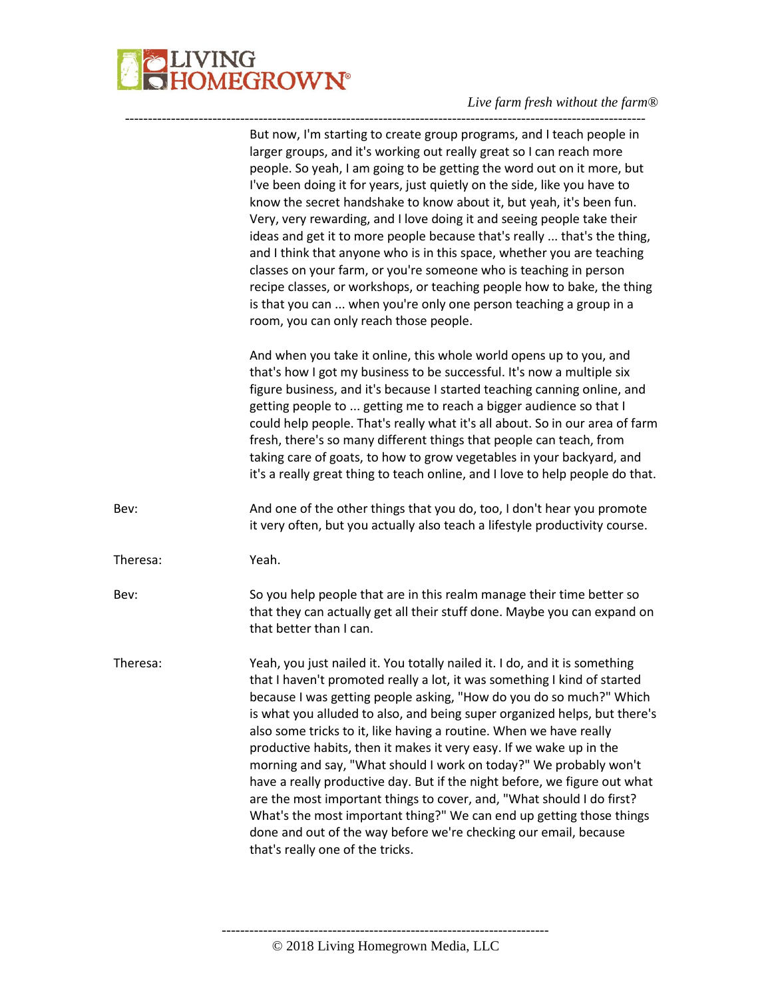

|          | But now, I'm starting to create group programs, and I teach people in<br>larger groups, and it's working out really great so I can reach more<br>people. So yeah, I am going to be getting the word out on it more, but<br>I've been doing it for years, just quietly on the side, like you have to<br>know the secret handshake to know about it, but yeah, it's been fun.<br>Very, very rewarding, and I love doing it and seeing people take their<br>ideas and get it to more people because that's really  that's the thing,<br>and I think that anyone who is in this space, whether you are teaching<br>classes on your farm, or you're someone who is teaching in person<br>recipe classes, or workshops, or teaching people how to bake, the thing<br>is that you can  when you're only one person teaching a group in a<br>room, you can only reach those people. |
|----------|-----------------------------------------------------------------------------------------------------------------------------------------------------------------------------------------------------------------------------------------------------------------------------------------------------------------------------------------------------------------------------------------------------------------------------------------------------------------------------------------------------------------------------------------------------------------------------------------------------------------------------------------------------------------------------------------------------------------------------------------------------------------------------------------------------------------------------------------------------------------------------|
|          | And when you take it online, this whole world opens up to you, and<br>that's how I got my business to be successful. It's now a multiple six<br>figure business, and it's because I started teaching canning online, and<br>getting people to  getting me to reach a bigger audience so that I<br>could help people. That's really what it's all about. So in our area of farm<br>fresh, there's so many different things that people can teach, from<br>taking care of goats, to how to grow vegetables in your backyard, and<br>it's a really great thing to teach online, and I love to help people do that.                                                                                                                                                                                                                                                             |
| Bev:     | And one of the other things that you do, too, I don't hear you promote<br>it very often, but you actually also teach a lifestyle productivity course.                                                                                                                                                                                                                                                                                                                                                                                                                                                                                                                                                                                                                                                                                                                       |
| Theresa: | Yeah.                                                                                                                                                                                                                                                                                                                                                                                                                                                                                                                                                                                                                                                                                                                                                                                                                                                                       |
| Bev:     | So you help people that are in this realm manage their time better so<br>that they can actually get all their stuff done. Maybe you can expand on<br>that better than I can.                                                                                                                                                                                                                                                                                                                                                                                                                                                                                                                                                                                                                                                                                                |
| Theresa: | Yeah, you just nailed it. You totally nailed it. I do, and it is something<br>that I haven't promoted really a lot, it was something I kind of started<br>because I was getting people asking, "How do you do so much?" Which<br>is what you alluded to also, and being super organized helps, but there's<br>also some tricks to it, like having a routine. When we have really<br>productive habits, then it makes it very easy. If we wake up in the<br>morning and say, "What should I work on today?" We probably won't<br>have a really productive day. But if the night before, we figure out what<br>are the most important things to cover, and, "What should I do first?<br>What's the most important thing?" We can end up getting those things<br>done and out of the way before we're checking our email, because<br>that's really one of the tricks.          |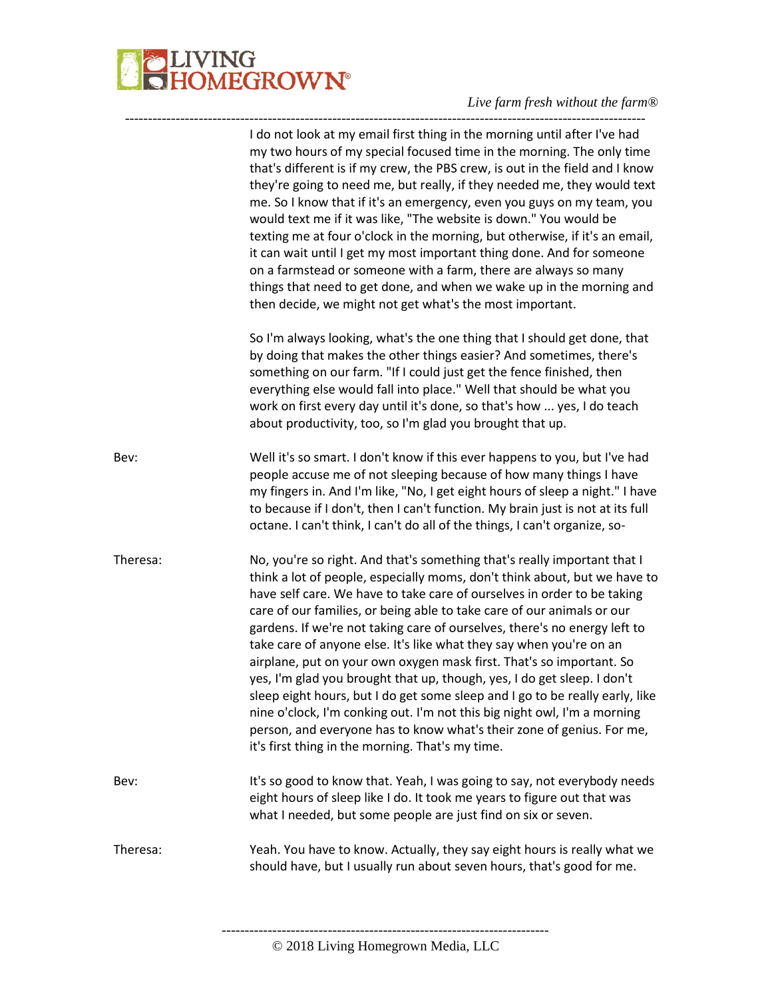

|          | I do not look at my email first thing in the morning until after I've had<br>my two hours of my special focused time in the morning. The only time<br>that's different is if my crew, the PBS crew, is out in the field and I know<br>they're going to need me, but really, if they needed me, they would text<br>me. So I know that if it's an emergency, even you guys on my team, you<br>would text me if it was like, "The website is down." You would be<br>texting me at four o'clock in the morning, but otherwise, if it's an email,<br>it can wait until I get my most important thing done. And for someone<br>on a farmstead or someone with a farm, there are always so many<br>things that need to get done, and when we wake up in the morning and<br>then decide, we might not get what's the most important.                                                                               |
|----------|------------------------------------------------------------------------------------------------------------------------------------------------------------------------------------------------------------------------------------------------------------------------------------------------------------------------------------------------------------------------------------------------------------------------------------------------------------------------------------------------------------------------------------------------------------------------------------------------------------------------------------------------------------------------------------------------------------------------------------------------------------------------------------------------------------------------------------------------------------------------------------------------------------|
|          | So I'm always looking, what's the one thing that I should get done, that<br>by doing that makes the other things easier? And sometimes, there's<br>something on our farm. "If I could just get the fence finished, then<br>everything else would fall into place." Well that should be what you<br>work on first every day until it's done, so that's how  yes, I do teach<br>about productivity, too, so I'm glad you brought that up.                                                                                                                                                                                                                                                                                                                                                                                                                                                                    |
| Bev:     | Well it's so smart. I don't know if this ever happens to you, but I've had<br>people accuse me of not sleeping because of how many things I have<br>my fingers in. And I'm like, "No, I get eight hours of sleep a night." I have<br>to because if I don't, then I can't function. My brain just is not at its full<br>octane. I can't think, I can't do all of the things, I can't organize, so-                                                                                                                                                                                                                                                                                                                                                                                                                                                                                                          |
| Theresa: | No, you're so right. And that's something that's really important that I<br>think a lot of people, especially moms, don't think about, but we have to<br>have self care. We have to take care of ourselves in order to be taking<br>care of our families, or being able to take care of our animals or our<br>gardens. If we're not taking care of ourselves, there's no energy left to<br>take care of anyone else. It's like what they say when you're on an<br>airplane, put on your own oxygen mask first. That's so important. So<br>yes, I'm glad you brought that up, though, yes, I do get sleep. I don't<br>sleep eight hours, but I do get some sleep and I go to be really early, like<br>nine o'clock, I'm conking out. I'm not this big night owl, I'm a morning<br>person, and everyone has to know what's their zone of genius. For me,<br>it's first thing in the morning. That's my time. |
| Bev:     | It's so good to know that. Yeah, I was going to say, not everybody needs<br>eight hours of sleep like I do. It took me years to figure out that was<br>what I needed, but some people are just find on six or seven.                                                                                                                                                                                                                                                                                                                                                                                                                                                                                                                                                                                                                                                                                       |
| Theresa: | Yeah. You have to know. Actually, they say eight hours is really what we<br>should have, but I usually run about seven hours, that's good for me.                                                                                                                                                                                                                                                                                                                                                                                                                                                                                                                                                                                                                                                                                                                                                          |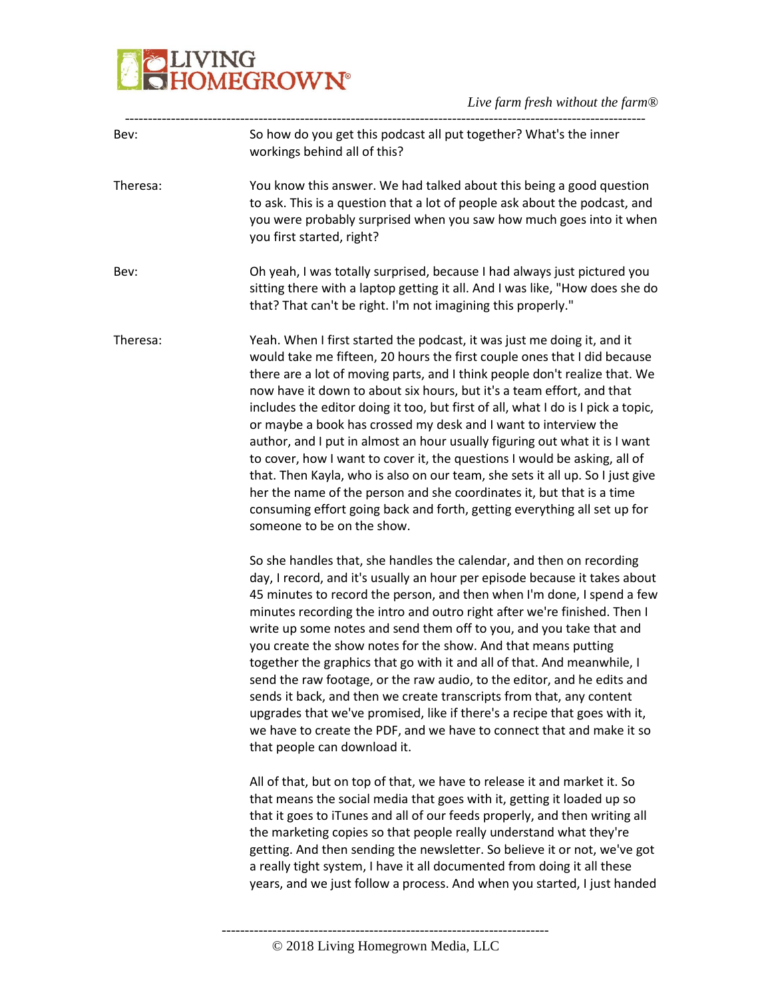# **BELIVING**<br>**BELIVING**<br> **BELIVING**

| So how do you get this podcast all put together? What's the inner<br>Bev:<br>workings behind all of this?<br>Theresa:<br>you first started, right?<br>Bev:<br>that? That can't be right. I'm not imagining this properly."<br>Yeah. When I first started the podcast, it was just me doing it, and it<br>Theresa:<br>now have it down to about six hours, but it's a team effort, and that<br>or maybe a book has crossed my desk and I want to interview the<br>to cover, how I want to cover it, the questions I would be asking, all of<br>her the name of the person and she coordinates it, but that is a time<br>someone to be on the show.<br>So she handles that, she handles the calendar, and then on recording<br>write up some notes and send them off to you, and you take that and<br>you create the show notes for the show. And that means putting<br>together the graphics that go with it and all of that. And meanwhile, I<br>sends it back, and then we create transcripts from that, any content<br>that people can download it.<br>All of that, but on top of that, we have to release it and market it. So<br>that means the social media that goes with it, getting it loaded up so<br>the marketing copies so that people really understand what they're<br>a really tight system, I have it all documented from doing it all these |                                                                                                                                                                                                                                                                                                                                                                                                                                                                                       |
|--------------------------------------------------------------------------------------------------------------------------------------------------------------------------------------------------------------------------------------------------------------------------------------------------------------------------------------------------------------------------------------------------------------------------------------------------------------------------------------------------------------------------------------------------------------------------------------------------------------------------------------------------------------------------------------------------------------------------------------------------------------------------------------------------------------------------------------------------------------------------------------------------------------------------------------------------------------------------------------------------------------------------------------------------------------------------------------------------------------------------------------------------------------------------------------------------------------------------------------------------------------------------------------------------------------------------------------------------------------|---------------------------------------------------------------------------------------------------------------------------------------------------------------------------------------------------------------------------------------------------------------------------------------------------------------------------------------------------------------------------------------------------------------------------------------------------------------------------------------|
|                                                                                                                                                                                                                                                                                                                                                                                                                                                                                                                                                                                                                                                                                                                                                                                                                                                                                                                                                                                                                                                                                                                                                                                                                                                                                                                                                              |                                                                                                                                                                                                                                                                                                                                                                                                                                                                                       |
|                                                                                                                                                                                                                                                                                                                                                                                                                                                                                                                                                                                                                                                                                                                                                                                                                                                                                                                                                                                                                                                                                                                                                                                                                                                                                                                                                              | You know this answer. We had talked about this being a good question<br>to ask. This is a question that a lot of people ask about the podcast, and<br>you were probably surprised when you saw how much goes into it when                                                                                                                                                                                                                                                             |
|                                                                                                                                                                                                                                                                                                                                                                                                                                                                                                                                                                                                                                                                                                                                                                                                                                                                                                                                                                                                                                                                                                                                                                                                                                                                                                                                                              | Oh yeah, I was totally surprised, because I had always just pictured you<br>sitting there with a laptop getting it all. And I was like, "How does she do                                                                                                                                                                                                                                                                                                                              |
|                                                                                                                                                                                                                                                                                                                                                                                                                                                                                                                                                                                                                                                                                                                                                                                                                                                                                                                                                                                                                                                                                                                                                                                                                                                                                                                                                              | would take me fifteen, 20 hours the first couple ones that I did because<br>there are a lot of moving parts, and I think people don't realize that. We<br>includes the editor doing it too, but first of all, what I do is I pick a topic,<br>author, and I put in almost an hour usually figuring out what it is I want<br>that. Then Kayla, who is also on our team, she sets it all up. So I just give<br>consuming effort going back and forth, getting everything all set up for |
|                                                                                                                                                                                                                                                                                                                                                                                                                                                                                                                                                                                                                                                                                                                                                                                                                                                                                                                                                                                                                                                                                                                                                                                                                                                                                                                                                              | day, I record, and it's usually an hour per episode because it takes about<br>45 minutes to record the person, and then when I'm done, I spend a few<br>minutes recording the intro and outro right after we're finished. Then I<br>send the raw footage, or the raw audio, to the editor, and he edits and<br>upgrades that we've promised, like if there's a recipe that goes with it,<br>we have to create the PDF, and we have to connect that and make it so                     |
|                                                                                                                                                                                                                                                                                                                                                                                                                                                                                                                                                                                                                                                                                                                                                                                                                                                                                                                                                                                                                                                                                                                                                                                                                                                                                                                                                              | that it goes to iTunes and all of our feeds properly, and then writing all<br>getting. And then sending the newsletter. So believe it or not, we've got<br>years, and we just follow a process. And when you started, I just handed                                                                                                                                                                                                                                                   |

<sup>-----------------------------------------------------------------------</sup> © 2018 Living Homegrown Media, LLC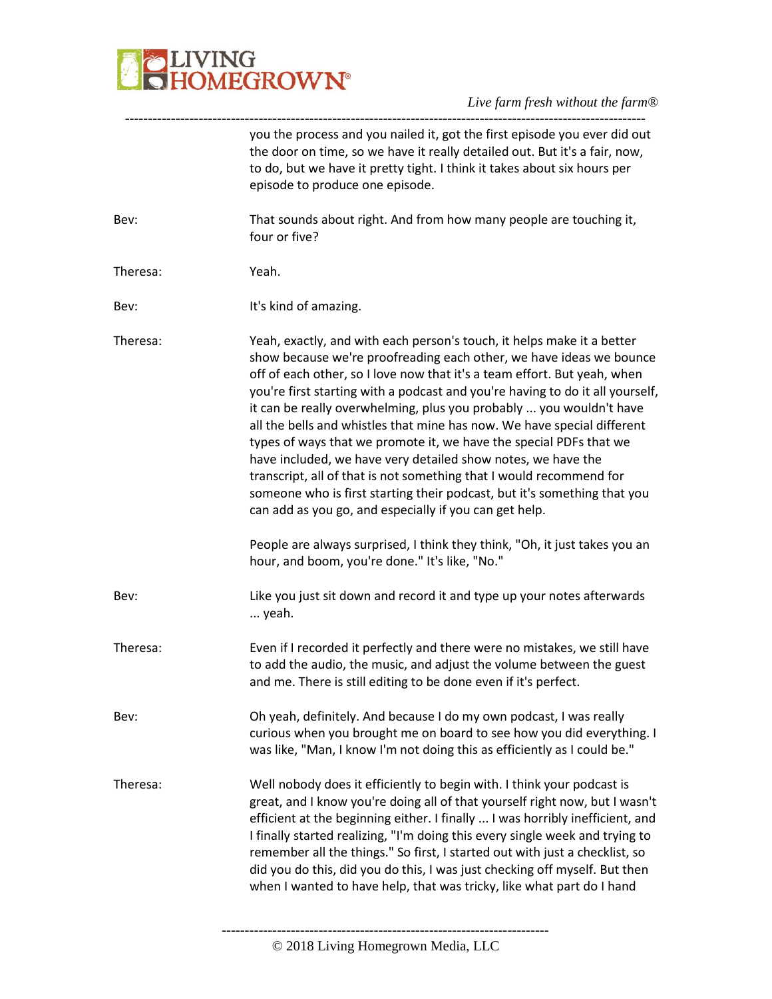

|          | you the process and you nailed it, got the first episode you ever did out<br>the door on time, so we have it really detailed out. But it's a fair, now,<br>to do, but we have it pretty tight. I think it takes about six hours per<br>episode to produce one episode.                                                                                                                                                                                                                                                                                                                                                                                                                                                                                                                                                                                                                        |
|----------|-----------------------------------------------------------------------------------------------------------------------------------------------------------------------------------------------------------------------------------------------------------------------------------------------------------------------------------------------------------------------------------------------------------------------------------------------------------------------------------------------------------------------------------------------------------------------------------------------------------------------------------------------------------------------------------------------------------------------------------------------------------------------------------------------------------------------------------------------------------------------------------------------|
| Bev:     | That sounds about right. And from how many people are touching it,<br>four or five?                                                                                                                                                                                                                                                                                                                                                                                                                                                                                                                                                                                                                                                                                                                                                                                                           |
| Theresa: | Yeah.                                                                                                                                                                                                                                                                                                                                                                                                                                                                                                                                                                                                                                                                                                                                                                                                                                                                                         |
| Bev:     | It's kind of amazing.                                                                                                                                                                                                                                                                                                                                                                                                                                                                                                                                                                                                                                                                                                                                                                                                                                                                         |
| Theresa: | Yeah, exactly, and with each person's touch, it helps make it a better<br>show because we're proofreading each other, we have ideas we bounce<br>off of each other, so I love now that it's a team effort. But yeah, when<br>you're first starting with a podcast and you're having to do it all yourself,<br>it can be really overwhelming, plus you probably  you wouldn't have<br>all the bells and whistles that mine has now. We have special different<br>types of ways that we promote it, we have the special PDFs that we<br>have included, we have very detailed show notes, we have the<br>transcript, all of that is not something that I would recommend for<br>someone who is first starting their podcast, but it's something that you<br>can add as you go, and especially if you can get help.<br>People are always surprised, I think they think, "Oh, it just takes you an |
|          | hour, and boom, you're done." It's like, "No."                                                                                                                                                                                                                                                                                                                                                                                                                                                                                                                                                                                                                                                                                                                                                                                                                                                |
| Bev:     | Like you just sit down and record it and type up your notes afterwards<br>yeah.                                                                                                                                                                                                                                                                                                                                                                                                                                                                                                                                                                                                                                                                                                                                                                                                               |
| Theresa: | Even if I recorded it perfectly and there were no mistakes, we still have<br>to add the audio, the music, and adjust the volume between the guest<br>and me. There is still editing to be done even if it's perfect.                                                                                                                                                                                                                                                                                                                                                                                                                                                                                                                                                                                                                                                                          |
| Bev:     | Oh yeah, definitely. And because I do my own podcast, I was really<br>curious when you brought me on board to see how you did everything. I<br>was like, "Man, I know I'm not doing this as efficiently as I could be."                                                                                                                                                                                                                                                                                                                                                                                                                                                                                                                                                                                                                                                                       |
| Theresa: | Well nobody does it efficiently to begin with. I think your podcast is<br>great, and I know you're doing all of that yourself right now, but I wasn't<br>efficient at the beginning either. I finally  I was horribly inefficient, and<br>I finally started realizing, "I'm doing this every single week and trying to<br>remember all the things." So first, I started out with just a checklist, so<br>did you do this, did you do this, I was just checking off myself. But then<br>when I wanted to have help, that was tricky, like what part do I hand                                                                                                                                                                                                                                                                                                                                  |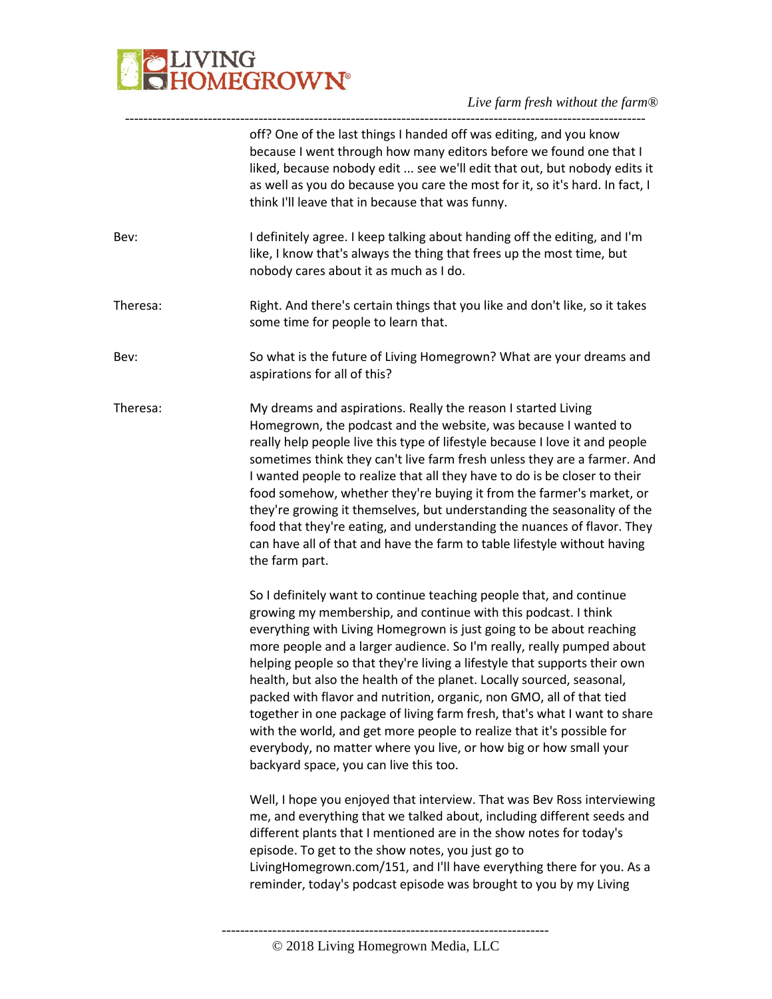# **BELIVING**<br>**BELIVING**<br> **BELIVING**

|          | off? One of the last things I handed off was editing, and you know<br>because I went through how many editors before we found one that I<br>liked, because nobody edit  see we'll edit that out, but nobody edits it<br>as well as you do because you care the most for it, so it's hard. In fact, I<br>think I'll leave that in because that was funny.                                                                                                                                                                                                                                                                                                                                                                                                                                 |
|----------|------------------------------------------------------------------------------------------------------------------------------------------------------------------------------------------------------------------------------------------------------------------------------------------------------------------------------------------------------------------------------------------------------------------------------------------------------------------------------------------------------------------------------------------------------------------------------------------------------------------------------------------------------------------------------------------------------------------------------------------------------------------------------------------|
| Bev:     | I definitely agree. I keep talking about handing off the editing, and I'm<br>like, I know that's always the thing that frees up the most time, but<br>nobody cares about it as much as I do.                                                                                                                                                                                                                                                                                                                                                                                                                                                                                                                                                                                             |
| Theresa: | Right. And there's certain things that you like and don't like, so it takes<br>some time for people to learn that.                                                                                                                                                                                                                                                                                                                                                                                                                                                                                                                                                                                                                                                                       |
| Bev:     | So what is the future of Living Homegrown? What are your dreams and<br>aspirations for all of this?                                                                                                                                                                                                                                                                                                                                                                                                                                                                                                                                                                                                                                                                                      |
| Theresa: | My dreams and aspirations. Really the reason I started Living<br>Homegrown, the podcast and the website, was because I wanted to<br>really help people live this type of lifestyle because I love it and people<br>sometimes think they can't live farm fresh unless they are a farmer. And<br>I wanted people to realize that all they have to do is be closer to their<br>food somehow, whether they're buying it from the farmer's market, or<br>they're growing it themselves, but understanding the seasonality of the<br>food that they're eating, and understanding the nuances of flavor. They<br>can have all of that and have the farm to table lifestyle without having<br>the farm part.                                                                                     |
|          | So I definitely want to continue teaching people that, and continue<br>growing my membership, and continue with this podcast. I think<br>everything with Living Homegrown is just going to be about reaching<br>more people and a larger audience. So I'm really, really pumped about<br>helping people so that they're living a lifestyle that supports their own<br>health, but also the health of the planet. Locally sourced, seasonal,<br>packed with flavor and nutrition, organic, non GMO, all of that tied<br>together in one package of living farm fresh, that's what I want to share<br>with the world, and get more people to realize that it's possible for<br>everybody, no matter where you live, or how big or how small your<br>backyard space, you can live this too. |
|          | Well, I hope you enjoyed that interview. That was Bev Ross interviewing<br>me, and everything that we talked about, including different seeds and<br>different plants that I mentioned are in the show notes for today's<br>episode. To get to the show notes, you just go to<br>LivingHomegrown.com/151, and I'll have everything there for you. As a<br>reminder, today's podcast episode was brought to you by my Living                                                                                                                                                                                                                                                                                                                                                              |